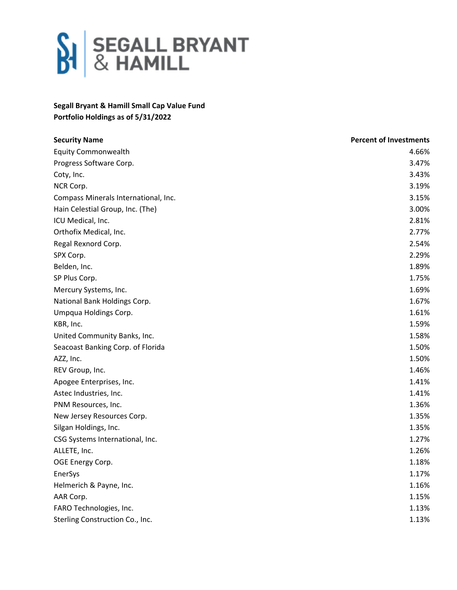

## **Segall Bryant & Hamill Small Cap Value Fund Portfolio Holdings as of 5/31/2022**

| <b>Security Name</b>                 | <b>Percent of Investments</b> |
|--------------------------------------|-------------------------------|
| <b>Equity Commonwealth</b>           | 4.66%                         |
| Progress Software Corp.              | 3.47%                         |
| Coty, Inc.                           | 3.43%                         |
| NCR Corp.                            | 3.19%                         |
| Compass Minerals International, Inc. | 3.15%                         |
| Hain Celestial Group, Inc. (The)     | 3.00%                         |
| ICU Medical, Inc.                    | 2.81%                         |
| Orthofix Medical, Inc.               | 2.77%                         |
| Regal Rexnord Corp.                  | 2.54%                         |
| SPX Corp.                            | 2.29%                         |
| Belden, Inc.                         | 1.89%                         |
| SP Plus Corp.                        | 1.75%                         |
| Mercury Systems, Inc.                | 1.69%                         |
| National Bank Holdings Corp.         | 1.67%                         |
| Umpqua Holdings Corp.                | 1.61%                         |
| KBR, Inc.                            | 1.59%                         |
| United Community Banks, Inc.         | 1.58%                         |
| Seacoast Banking Corp. of Florida    | 1.50%                         |
| AZZ, Inc.                            | 1.50%                         |
| REV Group, Inc.                      | 1.46%                         |
| Apogee Enterprises, Inc.             | 1.41%                         |
| Astec Industries, Inc.               | 1.41%                         |
| PNM Resources, Inc.                  | 1.36%                         |
| New Jersey Resources Corp.           | 1.35%                         |
| Silgan Holdings, Inc.                | 1.35%                         |
| CSG Systems International, Inc.      | 1.27%                         |
| ALLETE, Inc.                         | 1.26%                         |
| OGE Energy Corp.                     | 1.18%                         |
| EnerSys                              | 1.17%                         |
| Helmerich & Payne, Inc.              | 1.16%                         |
| AAR Corp.                            | 1.15%                         |
| FARO Technologies, Inc.              | 1.13%                         |
| Sterling Construction Co., Inc.      | 1.13%                         |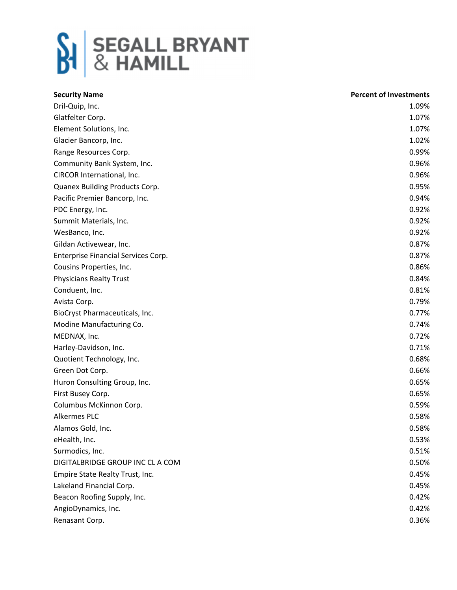

| <b>Security Name</b>                | <b>Percent of Investments</b> |
|-------------------------------------|-------------------------------|
| Dril-Quip, Inc.                     | 1.09%                         |
| Glatfelter Corp.                    | 1.07%                         |
| Element Solutions, Inc.             | 1.07%                         |
| Glacier Bancorp, Inc.               | 1.02%                         |
| Range Resources Corp.               | 0.99%                         |
| Community Bank System, Inc.         | 0.96%                         |
| CIRCOR International, Inc.          | 0.96%                         |
| Quanex Building Products Corp.      | 0.95%                         |
| Pacific Premier Bancorp, Inc.       | 0.94%                         |
| PDC Energy, Inc.                    | 0.92%                         |
| Summit Materials, Inc.              | 0.92%                         |
| WesBanco, Inc.                      | 0.92%                         |
| Gildan Activewear, Inc.             | 0.87%                         |
| Enterprise Financial Services Corp. | 0.87%                         |
| Cousins Properties, Inc.            | 0.86%                         |
| <b>Physicians Realty Trust</b>      | 0.84%                         |
| Conduent, Inc.                      | 0.81%                         |
| Avista Corp.                        | 0.79%                         |
| BioCryst Pharmaceuticals, Inc.      | 0.77%                         |
| Modine Manufacturing Co.            | 0.74%                         |
| MEDNAX, Inc.                        | 0.72%                         |
| Harley-Davidson, Inc.               | 0.71%                         |
| Quotient Technology, Inc.           | 0.68%                         |
| Green Dot Corp.                     | 0.66%                         |
| Huron Consulting Group, Inc.        | 0.65%                         |
| First Busey Corp.                   | 0.65%                         |
| Columbus McKinnon Corp.             | 0.59%                         |
| Alkermes PLC                        | 0.58%                         |
| Alamos Gold, Inc.                   | 0.58%                         |
| eHealth, Inc.                       | 0.53%                         |
| Surmodics, Inc.                     | 0.51%                         |
| DIGITALBRIDGE GROUP INC CL A COM    | 0.50%                         |
| Empire State Realty Trust, Inc.     | 0.45%                         |
| Lakeland Financial Corp.            | 0.45%                         |
| Beacon Roofing Supply, Inc.         | 0.42%                         |
| AngioDynamics, Inc.                 | 0.42%                         |
| Renasant Corp.                      | 0.36%                         |